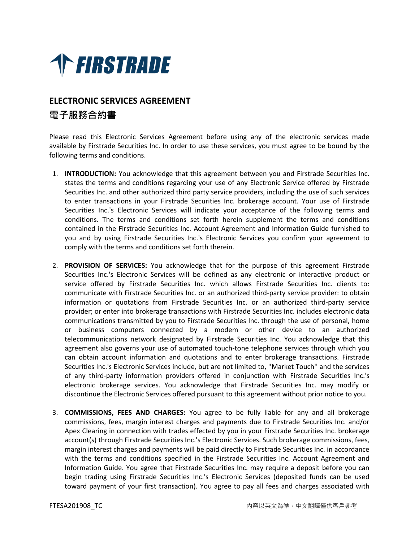

## **ELECTRONIC SERVICES AGREEMENT 電子服務合約書**

Please read this Electronic Services Agreement before using any of the electronic services made available by Firstrade Securities Inc. In order to use these services, you must agree to be bound by the following terms and conditions.

- 1. **INTRODUCTION:** You acknowledge that this agreement between you and Firstrade Securities Inc. states the terms and conditions regarding your use of any Electronic Service offered by Firstrade Securities Inc. and other authorized third party service providers, including the use of such services to enter transactions in your Firstrade Securities Inc. brokerage account. Your use of Firstrade Securities Inc.'s Electronic Services will indicate your acceptance of the following terms and conditions. The terms and conditions set forth herein supplement the terms and conditions contained in the Firstrade Securities Inc. Account Agreement and Information Guide furnished to you and by using Firstrade Securities Inc.'s Electronic Services you confirm your agreement to comply with the terms and conditions set forth therein.
- 2. **PROVISION OF SERVICES:** You acknowledge that for the purpose of this agreement Firstrade Securities Inc.'s Electronic Services will be defined as any electronic or interactive product or service offered by Firstrade Securities Inc. which allows Firstrade Securities Inc. clients to: communicate with Firstrade Securities Inc. or an authorized third-party service provider: to obtain information or quotations from Firstrade Securities Inc. or an authorized third-party service provider; or enter into brokerage transactions with Firstrade Securities Inc. includes electronic data communications transmitted by you to Firstrade Securities Inc. through the use of personal, home or business computers connected by a modem or other device to an authorized telecommunications network designated by Firstrade Securities Inc. You acknowledge that this agreement also governs your use of automated touch-tone telephone services through which you can obtain account information and quotations and to enter brokerage transactions. Firstrade Securities Inc.'s Electronic Services include, but are not limited to, ''Market Touch'' and the services of any third-party information providers offered in conjunction with Firstrade Securities Inc.'s electronic brokerage services. You acknowledge that Firstrade Securities Inc. may modify or discontinue the Electronic Services offered pursuant to this agreement without prior notice to you.
- 3. **COMMISSIONS, FEES AND CHARGES:** You agree to be fully liable for any and all brokerage commissions, fees, margin interest charges and payments due to Firstrade Securities Inc. and/or Apex Clearing in connection with trades effected by you in your Firstrade Securities Inc. brokerage account(s) through Firstrade Securities Inc.'s Electronic Services. Such brokerage commissions, fees, margin interest charges and payments will be paid directly to Firstrade Securities Inc. in accordance with the terms and conditions specified in the Firstrade Securities Inc. Account Agreement and Information Guide. You agree that Firstrade Securities Inc. may require a deposit before you can begin trading using Firstrade Securities Inc.'s Electronic Services (deposited funds can be used toward payment of your first transaction). You agree to pay all fees and charges associated with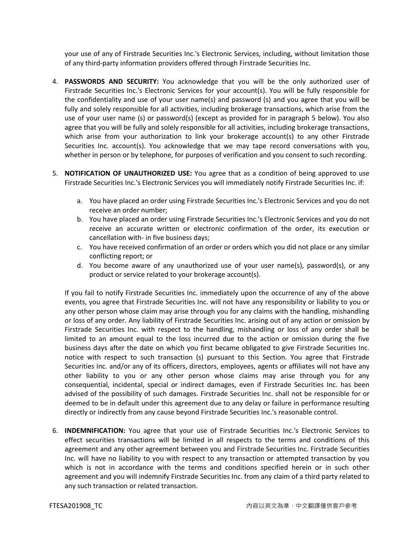your use of any of Firstrade Securities Inc.'s Electronic Services, including, without limitation those of any third-party information providers offered through Firstrade Securities Inc.

- 4. **PASSWORDS AND SECURITY:** You acknowledge that you will be the only authorized user of Firstrade Securities Inc.'s Electronic Services for your account(s). You will be fully responsible for the confidentiality and use of your user name(s) and password (s) and you agree that you will be fully and solely responsible for all activities, including brokerage transactions, which arise from the use of your user name (s) or password(s) (except as provided for in paragraph 5 below). You also agree that you will be fully and solely responsible for all activities, including brokerage transactions, which arise from your authorization to link your brokerage account(s) to any other Firstrade Securities Inc. account(s). You acknowledge that we may tape record conversations with you, whether in person or by telephone, for purposes of verification and you consent to such recording.
- 5. **NOTIFICATION OF UNAUTHORIZED USE:** You agree that as a condition of being approved to use Firstrade Securities Inc.'s Electronic Services you will immediately notify Firstrade Securities Inc. if:
	- a. You have placed an order using Firstrade Securities Inc.'s Electronic Services and you do not receive an order number;
	- b. You have placed an order using Firstrade Securities Inc.'s Electronic Services and you do not receive an accurate written or electronic confirmation of the order, its execution or cancellation with- in five business days;
	- c. You have received confirmation of an order or orders which you did not place or any similar conflicting report; or
	- d. You become aware of any unauthorized use of your user name(s), password(s), or any product or service related to your brokerage account(s).

If you fail to notify Firstrade Securities Inc. immediately upon the occurrence of any of the above events, you agree that Firstrade Securities Inc. will not have any responsibility or liability to you or any other person whose claim may arise through you for any claims with the handling, mishandling or loss of any order. Any liability of Firstrade Securities Inc. arising out of any action or omission by Firstrade Securities Inc. with respect to the handling, mishandling or loss of any order shall be limited to an amount equal to the loss incurred due to the action or omission during the five business days after the date on which you first became obligated to give Firstrade Securities Inc. notice with respect to such transaction (s) pursuant to this Section. You agree that Firstrade Securities Inc. and/or any of its officers, directors, employees, agents or affiliates will not have any other liability to you or any other person whose claims may arise through you for any consequential, incidental, special or indirect damages, even if Firstrade Securities Inc. has been advised of the possibility of such damages. Firstrade Securities Inc. shall not be responsible for or deemed to be in default under this agreement due to any delay or failure in performance resulting directly or indirectly from any cause beyond Firstrade Securities Inc.'s reasonable control.

6. **INDEMNIFICATION:** You agree that your use of Firstrade Securities Inc.'s Electronic Services to effect securities transactions will be limited in all respects to the terms and conditions of this agreement and any other agreement between you and Firstrade Securities Inc. Firstrade Securities Inc. will have no liability to you with respect to any transaction or attempted transaction by you which is not in accordance with the terms and conditions specified herein or in such other agreement and you will indemnify Firstrade Securities Inc. from any claim of a third party related to any such transaction or related transaction.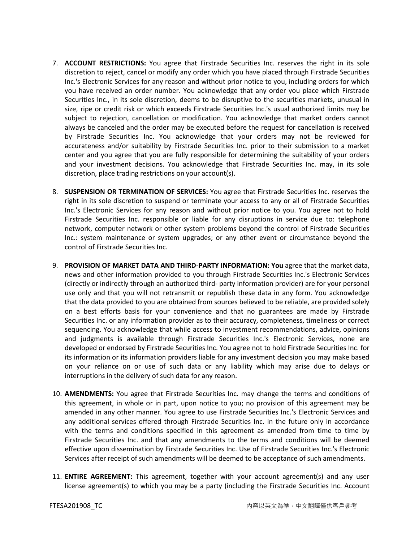- 7. **ACCOUNT RESTRICTIONS:** You agree that Firstrade Securities Inc. reserves the right in its sole discretion to reject, cancel or modify any order which you have placed through Firstrade Securities Inc.'s Electronic Services for any reason and without prior notice to you, including orders for which you have received an order number. You acknowledge that any order you place which Firstrade Securities Inc., in its sole discretion, deems to be disruptive to the securities markets, unusual in size, ripe or credit risk or which exceeds Firstrade Securities Inc.'s usual authorized limits may be subject to rejection, cancellation or modification. You acknowledge that market orders cannot always be canceled and the order may be executed before the request for cancellation is received by Firstrade Securities Inc. You acknowledge that your orders may not be reviewed for accurateness and/or suitability by Firstrade Securities Inc. prior to their submission to a market center and you agree that you are fully responsible for determining the suitability of your orders and your investment decisions. You acknowledge that Firstrade Securities Inc. may, in its sole discretion, place trading restrictions on your account(s).
- 8. **SUSPENSION OR TERMINATION OF SERVICES:** You agree that Firstrade Securities Inc. reserves the right in its sole discretion to suspend or terminate your access to any or all of Firstrade Securities Inc.'s Electronic Services for any reason and without prior notice to you. You agree not to hold Firstrade Securities Inc. responsible or liable for any disruptions in service due to: telephone network, computer network or other system problems beyond the control of Firstrade Securities Inc.: system maintenance or system upgrades; or any other event or circumstance beyond the control of Firstrade Securities Inc.
- 9. **PROVISION OF MARKET DATA AND THIRD-PARTY INFORMATION: You** agree that the market data, news and other information provided to you through Firstrade Securities Inc.'s Electronic Services (directly or indirectly through an authorized third- party information provider) are for your personal use only and that you will not retransmit or republish these data in any form. You acknowledge that the data provided to you are obtained from sources believed to be reliable, are provided solely on a best efforts basis for your convenience and that no guarantees are made by Firstrade Securities Inc. or any information provider as to their accuracy, completeness, timeliness or correct sequencing. You acknowledge that while access to investment recommendations, advice, opinions and judgments is available through Firstrade Securities Inc.'s Electronic Services, none are developed or endorsed by Firstrade Securities Inc. You agree not to hold Firstrade Securities Inc. for its information or its information providers liable for any investment decision you may make based on your reliance on or use of such data or any liability which may arise due to delays or interruptions in the delivery of such data for any reason.
- 10. **AMENDMENTS:** You agree that Firstrade Securities Inc. may change the terms and conditions of this agreement, in whole or in part, upon notice to you; no provision of this agreement may be amended in any other manner. You agree to use Firstrade Securities Inc.'s Electronic Services and any additional services offered through Firstrade Securities Inc. in the future only in accordance with the terms and conditions specified in this agreement as amended from time to time by Firstrade Securities Inc. and that any amendments to the terms and conditions will be deemed effective upon dissemination by Firstrade Securities Inc. Use of Firstrade Securities Inc.'s Electronic Services after receipt of such amendments will be deemed to be acceptance of such amendments.
- 11. **ENTIRE AGREEMENT:** This agreement, together with your account agreement(s) and any user license agreement(s) to which you may be a party (including the Firstrade Securities Inc. Account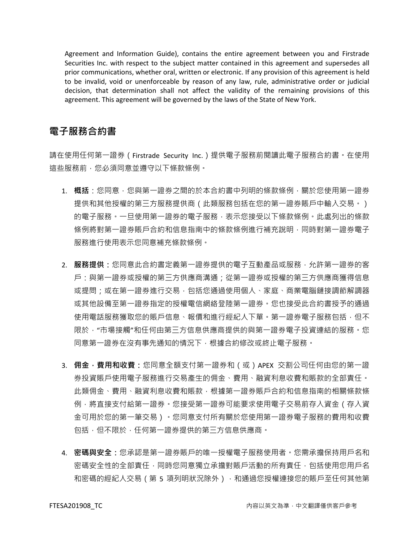Agreement and Information Guide), contains the entire agreement between you and Firstrade Securities Inc. with respect to the subject matter contained in this agreement and supersedes all prior communications, whether oral, written or electronic. If any provision of this agreement is held to be invalid, void or unenforceable by reason of any law, rule, administrative order or judicial decision, that determination shall not affect the validity of the remaining provisions of this agreement. This agreement will be governed by the laws of the State of New York.

## **電子服務合約書**

請在使用任何第一證券(Firstrade Security Inc.)提供電子服務前閱讀此電子服務合約書。在使用 這些服務前,您必須同意並遵守以下條款條例。

- 1. **概括**:您同意,您與第一證券之間的於本合約書中列明的條款條例,關於您使用第一證券 提供和其他授權的第三方服務提供商(此類服務包括在您的第一證券賬戶中輸入交易。) 的電子服務。一旦使用第一證券的電子服務,表示您接受以下條款條例。此處列出的條款 條例將對第一證券賬戶合約和信息指南中的條款條例進行補充說明,同時對第一證券電子 服務進行使用表示您同意補充條款條例。
- 2. **服務提供:**您同意此合約書定義第一證券提供的電子互動產品或服務,允許第一證券的客 戶:與第一證券或授權的第三方供應商溝通;從第一證券或授權的第三方供應商獲得信息 或提問;或在第一證券進行交易,包括您通過使用個人、家庭、商業電腦鏈接調節解調器 或其他設備至第一證券指定的授權電信網絡登陸第一證券。您也接受此合約書授予的通過 使用電話服務獲取您的賬戶信息、報價和進行經紀人下單。第一證券電子服務包括,但不 限於,"市場接觸"和任何由第三方信息供應商提供的與第一證券電子投資連結的服務。您 同意第一證券在沒有事先通知的情況下,根據合約修改或終止電子服務。
- 3. **佣金,費用和收費:**您同意全額支付第一證券和(或)APEX 交割公司任何由您的第一證 券投資賬戶使用電子服務進行交易產生的佣金、費用、融資利息收費和賬款的全部責任。 此類佣金、費用、融資利息收費和賬款,根據第一證券賬戶合約和信息指南的相關條款條 例,將直接支付給第一證券受第一證券可能要求使用電子交易前存入資金(存入資 金可用於您的第一筆交易)。您同意支付所有關於您使用第一證券電子服務的費用和收費 包括,但不限於,任何第一證券提供的第三方信息供應商。
- 4. **密碼與安全:**您承認是第一證券賬戶的唯一授權電子服務使用者。您需承擔保持用戶名和 密碼安全性的全部責任,同時您同意獨立承擔對賬戶活動的所有責任,包括使用您用戶名 和密碼的經紀人交易(第 5 項列明狀況除外),和通過您授權連接您的賬戶至任何其他第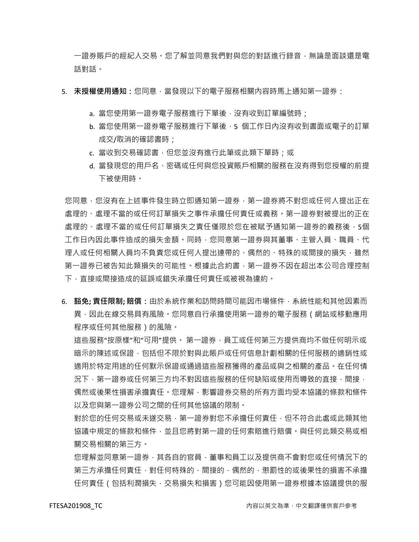一證券賬戶的經紀人交易。您了解並同意我們對與您的對話進行錄音﹐無論是面談還是電 話對話。

- 5. **未授權使用通知**:您同意,當發現以下的電子服務相關內容時馬上通知第一證券:
	- a. 當您使用第一證券電子服務進行下單後, 沒有收到訂單編號時;
	- b. 當您使用第一證券電子服務進行下單後,5 個工作日內沒有收到書面或電子的訂單 成交/取消的確認書時;
	- c. 當收到交易確認書,但您並沒有進行此筆或此類下單時;或
	- d. 當發現您的用戶名、密碼或任何與您投資賬戶相關的服務在沒有得到您授權的前提 下被使用時。

您同意,您沒有在上述事件發生時立即通知第一證券,第一證券將不對您或任何人提出正在 處理的、處理不當的或任何訂單損失之事件承擔任何責任或義務。第一證券對被提出的正在 處理的、處理不當的或任何訂單損失之責任僅限於您在被賦予通知第一證券的義務後,5個 工作日內因此事件造成的損失金額。同時,您同意第一證券與其董事、主管人員、職員、代 理人或任何相關人員均不負責您或任何人提出連帶的、偶然的、特殊的或間接的損失,雖然 第一證券已被告知此類損失的可能性。根據此合約書,第一證券不因在超出本公司合理控制 下,直接或間接造成的延誤或錯失承擔任何責任或被視為違約。

6. **豁免; 責任限制; 賠償:**由於系統作業和訪問時間可能因市場條件,系統性能和其他因素而 異,因此在線交易具有風險。您同意自行承擔使用第一證券的電子服務(網站或移動應用 程序或任何其他服務)的風險。

這些服務"按原樣"和"可用"提供。 第一證券,員工或任何第三方提供商均不做任何明示或 暗示的陳述或保證,包括但不限於對與此賬戶或任何信息計劃相關的任何服務的適銷性或 適用於特定用途的任何默示保證或通過這些服務獲得的產品或與之相關的產品。在任何情 況下,第一證券或任何第三方均不對因這些服務的任何缺陷或使用而導致的直接,間接, 偶然或後果性損害承擔責任。您理解,影響證券交易的所有方面均受本協議的條款和條件 以及您與第一證券公司之間的任何其他協議的限制。

對於您的任何交易或未遂交易,第一證券對您不承擔任何責任,但不符合此處或此類其他 協議中規定的條款和條件,並且您將對第一證的任何索賠進行賠償。與任何此類交易或相 關交易相關的第三方。

您理解並同意第一證券,其各自的官員,董事和員工以及提供商不會對您或任何情況下的 第三方承擔任何責任,對任何特殊的,間接的,偶然的,懲罰性的或後果性的損害不承擔 任何責任(包括利潤損失,交易損失和損害)您可能因使用第一證券根據本協議提供的服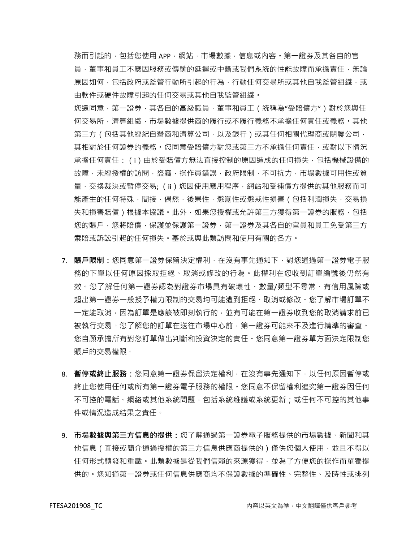務而引起的,包括您使用 APP, 網站,市場數據, 信息或內容。第一證券及其各自的官 員,董事和員工不應因服務或傳輸的延遲或中斷或我們系統的性能故障而承擔責任,無論 原因如何,包括政府或監管行動所引起的行為,行動任何交易所或其他自我監管組織,或 由軟件或硬件故障引起的任何交易或其他自我監管組織。

您還同意,第一證券,其各自的高級職員,董事和員工(統稱為"受賠償方")對於您與任 何交易所,清算組織,市場數據提供商的履行或不履行義務不承擔任何責任或義務。其他 第三方(包括其他經紀自營商和清算公司,以及銀行)或其任何相關代理商或關聯公司, 其相對於任何證券的義務。您同意受賠償方對您或第三方不承擔任何責任,或對以下情況 承擔任何責任:(i)由於受賠償方無法直接控制的原因造成的任何損失,包括機械設備的 故障,未經授權的訪問,盜竊,操作員錯誤,政府限制,不可抗力,市場數據可用性或質 量·交換裁決或暫停交易; (ii)您因使用應用程序·網站和受補償方提供的其他服務而可 能產生的任何特殊,間接,偶然,後果性,懲罰性或懲戒性損害(包括利潤損失,交易損 失和損害賠償)根據本協議。此外,如果您授權或允許第三方獲得第一證券的服務,包括 您的賬戶,您將賠償,保護並保護第一證券,第一證券及其各自的官員和員工免受第三方 索賠或訴訟引起的任何損失。基於或與此類訪問和使用有關的各方。

- 7. **賬戶限制:**您同意第一證券保留決定權利,在沒有事先通知下,對您通過第一證券電子服 務的下單以任何原因採取拒絕、取消或修改的行為。此權利在您收到訂單編號後仍然有 效。您了解任何第一證券認為對證券市場具有破壞性、數量/類型不尋常、有信用風險或 超出第一證券一般授予權力限制的交易均可能遭到拒絕、取消或修改。您了解市場訂單不 一定能取消,因為訂單是應該被即刻執行的,並有可能在第一證券收到您的取消請求前已 被執行交易。您了解您的訂單在送往市場中心前,第一證券可能來不及進行精準的審查。 您自願承擔所有對您訂單做出判斷和投資決定的責任。您同意第一證券單方面決定限制您 賬戶的交易權限。
- 8. **暫停或終止服務:**您同意第一證券保留決定權利,在沒有事先通知下,以任何原因暫停或 終止您使用任何或所有第一證券電子服務的權限。您同意不保留權利追究第一證券因任何 不可控的電話、網絡或其他系統問題,包括系統維護或系統更新;或任何不可控的其他事 件或情況造成結果之責任。
- 9. **市場數據與第三方信息的提供:**您了解通過第一證券電子服務提供的市場數據、新聞和其 他信息(直接或簡介通過授權的第三方信息供應商提供的)僅供您個人使用,並且不得以 任何形式轉發和重載。此類數據是從我們信賴的來源獲得,並為了方便您的操作而單獨提 供的。您知道第一證券或任何信息供應商均不保證數據的準確性、完整性、及時性或排列